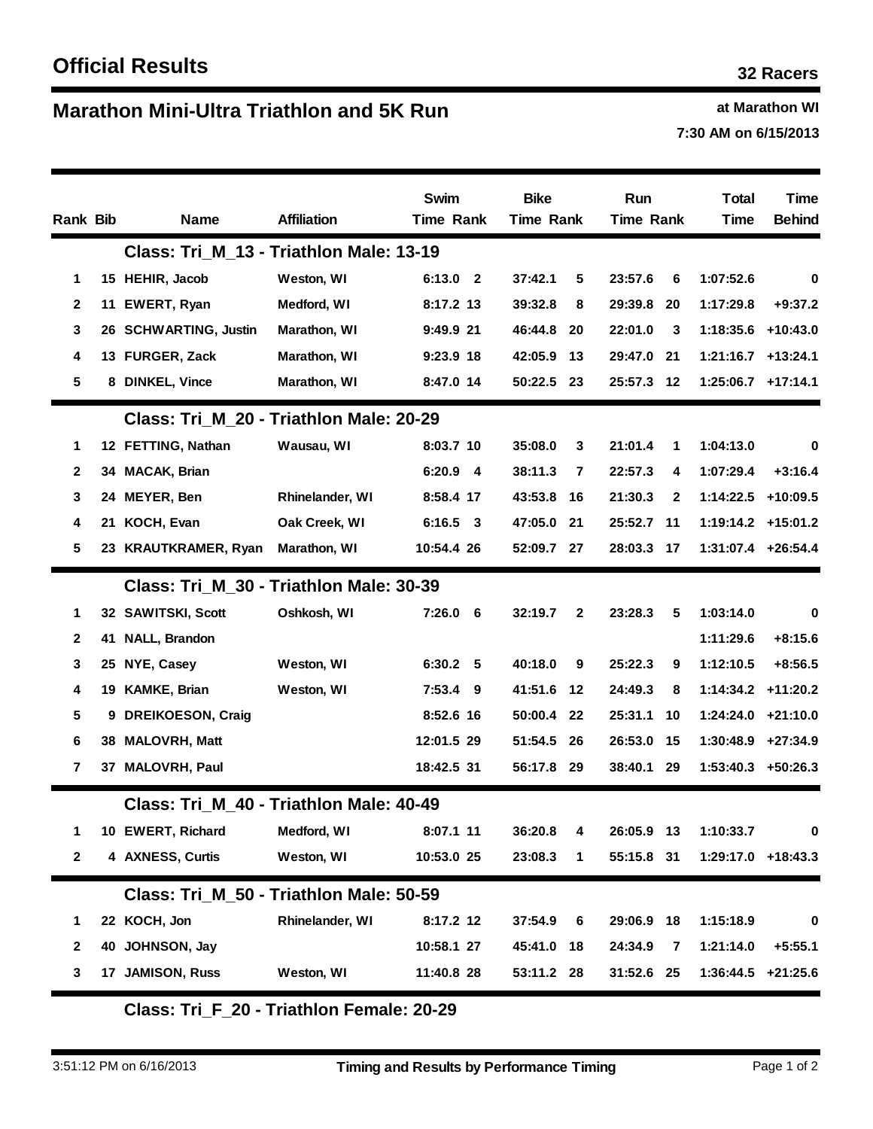## **Marathon Mini-Ultra Triathlon and 5K Run 1988 1988 1989 at Marathon WI**

**7:30 AM on 6/15/2013**

| Rank Bib       |                                         | <b>Name</b>                             | <b>Affiliation</b>  | Swim<br>Time Rank | <b>Bike</b><br><b>Time Rank</b> |              | Run<br><b>Time Rank</b> |              | <b>Total</b><br>Time | Time<br><b>Behind</b> |
|----------------|-----------------------------------------|-----------------------------------------|---------------------|-------------------|---------------------------------|--------------|-------------------------|--------------|----------------------|-----------------------|
|                | Class: Tri M 13 - Triathlon Male: 13-19 |                                         |                     |                   |                                 |              |                         |              |                      |                       |
| 1              |                                         | 15 HEHIR, Jacob                         | Weston, WI          | 6:13.0 2          | 37:42.1                         | 5            | 23:57.6                 | 6            | 1:07:52.6            | 0                     |
| $\mathbf{2}$   | 11                                      | EWERT, Ryan                             | Medford, WI         | 8:17.2 13         | 39:32.8                         | 8            | 29:39.8                 | 20           | 1:17:29.8            | $+9:37.2$             |
| 3              |                                         | 26 SCHWARTING, Justin                   | Marathon, WI        | 9:49.9 21         | 46:44.8                         | 20           | 22:01.0                 | 3            | 1:18:35.6 +10:43.0   |                       |
| 4              |                                         | 13 FURGER, Zack                         | Marathon, WI        | 9:23.9 18         | 42:05.9                         | 13           | 29:47.0                 | 21           | $1:21:16.7$ +13:24.1 |                       |
| 5              |                                         | 8 DINKEL, Vince                         | Marathon, WI        | 8:47.0 14         | 50:22.5                         | 23           | 25:57.3 12              |              | $1:25:06.7$ +17:14.1 |                       |
|                |                                         | Class: Tri M 20 - Triathlon Male: 20-29 |                     |                   |                                 |              |                         |              |                      |                       |
| 1              |                                         | 12 FETTING, Nathan                      | Wausau, WI          | 8:03.7 10         | 35:08.0                         | 3            | 21:01.4                 | 1            | 1:04:13.0            | $\bf{0}$              |
| $\mathbf{2}$   |                                         | 34 MACAK, Brian                         |                     | $6:20.9$ 4        | 38:11.3                         | 7            | 22:57.3                 | 4            | 1:07:29.4            | $+3:16.4$             |
| 3              |                                         | 24 MEYER, Ben                           | Rhinelander, WI     | 8:58.4 17         | 43:53.8                         | 16           | 21:30.3                 | $\mathbf{2}$ | 1:14:22.5 +10:09.5   |                       |
| 4              |                                         | 21 KOCH, Evan                           | Oak Creek, WI       | $6:16.5$ 3        | 47:05.0                         | 21           | 25:52.7                 | - 11         | 1:19:14.2 +15:01.2   |                       |
| 5              |                                         | 23 KRAUTKRAMER, Ryan                    | <b>Marathon, WI</b> | 10:54.4 26        | 52:09.7 27                      |              | 28:03.3                 | - 17         | $1:31:07.4$ +26:54.4 |                       |
|                |                                         | Class: Tri M 30 - Triathlon Male: 30-39 |                     |                   |                                 |              |                         |              |                      |                       |
| 1              |                                         | 32 SAWITSKI, Scott                      | Oshkosh, WI         | $7:26.0$ 6        | 32:19.7                         | $\mathbf{2}$ | 23:28.3                 | 5            | 1:03:14.0            | 0                     |
| 2              | 41                                      | NALL, Brandon                           |                     |                   |                                 |              |                         |              | 1:11:29.6            | $+8:15.6$             |
| 3              |                                         | 25 NYE, Casey                           | Weston, WI          | 6:30.2 5          | 40:18.0                         | 9            | 25:22.3                 | 9            | 1:12:10.5            | $+8:56.5$             |
| 4              |                                         | 19 KAMKE, Brian                         | Weston, WI          | 7:53.4<br>- 9     | 41:51.6                         | 12           | 24:49.3                 | 8            | $1:14:34.2$ +11:20.2 |                       |
| 5              |                                         | 9 DREIKOESON, Craig                     |                     | 8:52.6 16         | 50:00.4                         | 22           | 25:31.1                 | 10           | 1:24:24.0            | +21:10.0              |
| 6              |                                         | 38 MALOVRH, Matt                        |                     | 12:01.5 29        | 51:54.5                         | 26           | 26:53.0                 | -15          | 1:30:48.9            | $+27:34.9$            |
| $\overline{7}$ |                                         | 37 MALOVRH, Paul                        |                     | 18:42.5 31        | 56:17.8                         | 29           | 38:40.1                 | 29           | 1:53:40.3 +50:26.3   |                       |
|                | Class: Tri M 40 - Triathlon Male: 40-49 |                                         |                     |                   |                                 |              |                         |              |                      |                       |
| 1              |                                         | 10 EWERT, Richard                       | Medford, WI         | 8:07.1 11         | 36:20.8                         | 4            | 26:05.9 13              |              | 1:10:33.7            | 0                     |
| $\mathbf 2$    |                                         | 4 AXNESS, Curtis                        | Weston, WI          | 10:53.0 25        | 23:08.3                         | 1            | 55:15.8 31              |              | 1:29:17.0 +18:43.3   |                       |
|                |                                         | Class: Tri M 50 - Triathlon Male: 50-59 |                     |                   |                                 |              |                         |              |                      |                       |
| 1              |                                         | 22 KOCH, Jon                            | Rhinelander, WI     | 8:17.2 12         | 37:54.9                         | 6            | 29:06.9 18              |              | 1:15:18.9            | $\mathbf 0$           |
| $\mathbf{2}$   |                                         | 40 JOHNSON, Jay                         |                     | 10:58.1 27        | 45:41.0 18                      |              | 24:34.9                 | 7            | 1:21:14.0            | $+5:55.1$             |
| 3              |                                         | 17 JAMISON, Russ                        | Weston, WI          | 11:40.8 28        | 53:11.2 28                      |              | 31:52.6 25              |              | $1:36:44.5$ +21:25.6 |                       |

**Class: Tri\_F\_20 - Triathlon Female: 20-29**